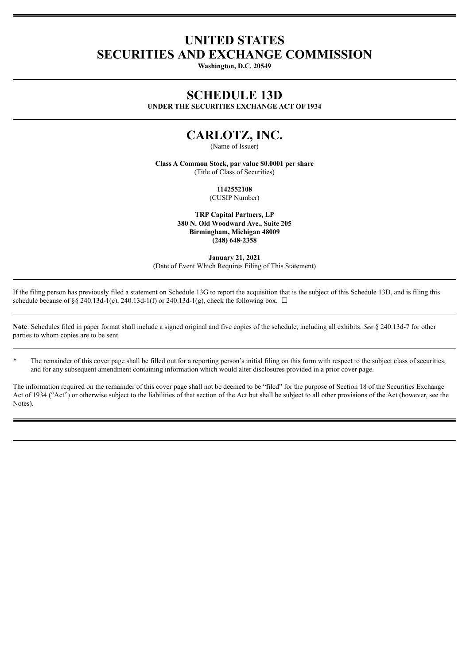# **UNITED STATES SECURITIES AND EXCHANGE COMMISSION**

**Washington, D.C. 20549**

## **SCHEDULE 13D**

**UNDER THE SECURITIES EXCHANGE ACT OF 1934**

# **CARLOTZ, INC.**

(Name of Issuer)

**Class A Common Stock, par value \$0.0001 per share** (Title of Class of Securities)

**1142552108**

(CUSIP Number)

**TRP Capital Partners, LP 380 N. Old Woodward Ave., Suite 205 Birmingham, Michigan 48009 (248) 648-2358**

**January 21, 2021** (Date of Event Which Requires Filing of This Statement)

If the filing person has previously filed a statement on Schedule 13G to report the acquisition that is the subject of this Schedule 13D, and is filing this schedule because of §§ 240.13d-1(e), 240.13d-1(f) or 240.13d-1(g), check the following box.  $\Box$ 

**Note**: Schedules filed in paper format shall include a signed original and five copies of the schedule, including all exhibits. *See* § 240.13d-7 for other parties to whom copies are to be sent.

\* The remainder of this cover page shall be filled out for a reporting person's initial filing on this form with respect to the subject class of securities, and for any subsequent amendment containing information which would alter disclosures provided in a prior cover page.

The information required on the remainder of this cover page shall not be deemed to be "filed" for the purpose of Section 18 of the Securities Exchange Act of 1934 ("Act") or otherwise subject to the liabilities of that section of the Act but shall be subject to all other provisions of the Act (however, see the Notes).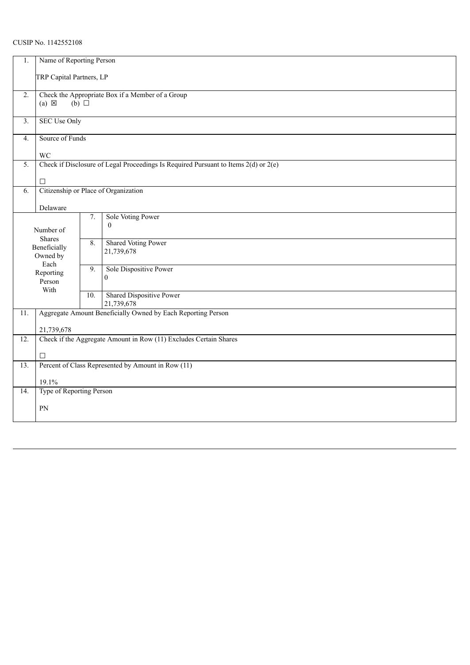## CUSIP No. 1142552108

| 1.                | Name of Reporting Person                                                                      |                  |                                   |  |  |  |
|-------------------|-----------------------------------------------------------------------------------------------|------------------|-----------------------------------|--|--|--|
|                   | TRP Capital Partners, LP                                                                      |                  |                                   |  |  |  |
| $\overline{2}$ .  | Check the Appropriate Box if a Member of a Group<br>$(a) \boxtimes$<br>$(b)$ $\square$        |                  |                                   |  |  |  |
| 3 <sub>1</sub>    | <b>SEC Use Only</b>                                                                           |                  |                                   |  |  |  |
| 4.                | Source of Funds                                                                               |                  |                                   |  |  |  |
| $\overline{5}$ .  | WC<br>Check if Disclosure of Legal Proceedings Is Required Pursuant to Items $2(d)$ or $2(e)$ |                  |                                   |  |  |  |
|                   |                                                                                               |                  |                                   |  |  |  |
|                   | П<br>Citizenship or Place of Organization                                                     |                  |                                   |  |  |  |
| 6.                |                                                                                               |                  |                                   |  |  |  |
|                   | Delaware                                                                                      |                  |                                   |  |  |  |
|                   |                                                                                               | $\overline{7}$ . | Sole Voting Power<br>$\mathbf{0}$ |  |  |  |
|                   | Number of                                                                                     |                  |                                   |  |  |  |
|                   | <b>Shares</b><br>Beneficially                                                                 | 8.               | <b>Shared Voting Power</b>        |  |  |  |
|                   | Owned by                                                                                      |                  | 21,739,678                        |  |  |  |
|                   | Each<br>Reporting                                                                             | 9.               | Sole Dispositive Power            |  |  |  |
|                   | Person                                                                                        |                  | $\theta$                          |  |  |  |
|                   | With                                                                                          | 10.              | Shared Dispositive Power          |  |  |  |
|                   |                                                                                               |                  | 21,739,678                        |  |  |  |
| 11.               | Aggregate Amount Beneficially Owned by Each Reporting Person                                  |                  |                                   |  |  |  |
|                   | 21,739,678                                                                                    |                  |                                   |  |  |  |
| $\overline{12}$ . | Check if the Aggregate Amount in Row (11) Excludes Certain Shares                             |                  |                                   |  |  |  |
|                   | $\Box$                                                                                        |                  |                                   |  |  |  |
| 13.               | Percent of Class Represented by Amount in Row (11)                                            |                  |                                   |  |  |  |
|                   | 19.1%                                                                                         |                  |                                   |  |  |  |
| $\overline{14}$ . | Type of Reporting Person                                                                      |                  |                                   |  |  |  |
|                   | PN                                                                                            |                  |                                   |  |  |  |
|                   |                                                                                               |                  |                                   |  |  |  |
|                   |                                                                                               |                  |                                   |  |  |  |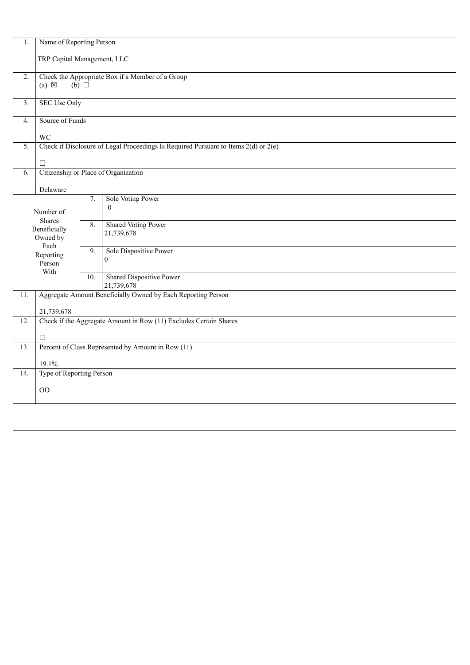| 1.                | Name of Reporting Person                                                                |                                    |                                      |  |  |  |  |  |
|-------------------|-----------------------------------------------------------------------------------------|------------------------------------|--------------------------------------|--|--|--|--|--|
|                   | TRP Capital Management, LLC                                                             |                                    |                                      |  |  |  |  |  |
| 2.                | Check the Appropriate Box if a Member of a Group                                        |                                    |                                      |  |  |  |  |  |
|                   |                                                                                         | $(a) \boxtimes$<br>$(b)$ $\square$ |                                      |  |  |  |  |  |
| $\overline{3}$ .  | <b>SEC Use Only</b>                                                                     |                                    |                                      |  |  |  |  |  |
| 4.                | Source of Funds                                                                         |                                    |                                      |  |  |  |  |  |
|                   | WC                                                                                      |                                    |                                      |  |  |  |  |  |
| 5.                | Check if Disclosure of Legal Proceedings Is Required Pursuant to Items $2(d)$ or $2(e)$ |                                    |                                      |  |  |  |  |  |
|                   | $\Box$                                                                                  |                                    |                                      |  |  |  |  |  |
| 6.                |                                                                                         |                                    | Citizenship or Place of Organization |  |  |  |  |  |
|                   | Delaware                                                                                |                                    |                                      |  |  |  |  |  |
|                   |                                                                                         | 7.                                 | Sole Voting Power<br>$\theta$        |  |  |  |  |  |
|                   | Number of                                                                               |                                    |                                      |  |  |  |  |  |
|                   | <b>Shares</b><br>Beneficially                                                           | 8.                                 | <b>Shared Voting Power</b>           |  |  |  |  |  |
|                   | Owned by                                                                                |                                    | 21,739,678                           |  |  |  |  |  |
|                   | Each<br>Reporting                                                                       | 9.                                 | Sole Dispositive Power               |  |  |  |  |  |
|                   | Person                                                                                  |                                    | $\overline{0}$                       |  |  |  |  |  |
|                   | With                                                                                    | 10.                                | <b>Shared Dispositive Power</b>      |  |  |  |  |  |
|                   |                                                                                         |                                    | 21,739,678                           |  |  |  |  |  |
| 11.               | Aggregate Amount Beneficially Owned by Each Reporting Person                            |                                    |                                      |  |  |  |  |  |
|                   | 21,739,678                                                                              |                                    |                                      |  |  |  |  |  |
| 12.               | Check if the Aggregate Amount in Row (11) Excludes Certain Shares                       |                                    |                                      |  |  |  |  |  |
|                   | $\Box$                                                                                  |                                    |                                      |  |  |  |  |  |
| $\overline{13}$ . | Percent of Class Represented by Amount in Row (11)                                      |                                    |                                      |  |  |  |  |  |
|                   | 19.1%                                                                                   |                                    |                                      |  |  |  |  |  |
| 14.               | Type of Reporting Person                                                                |                                    |                                      |  |  |  |  |  |
|                   | O <sub>O</sub>                                                                          |                                    |                                      |  |  |  |  |  |
|                   |                                                                                         |                                    |                                      |  |  |  |  |  |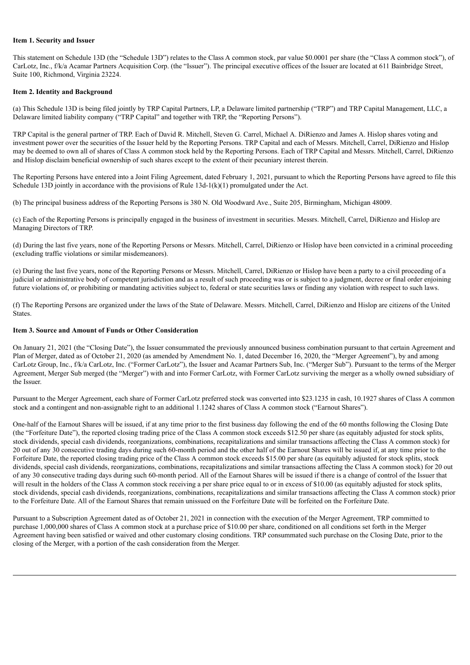#### **Item 1. Security and Issuer**

This statement on Schedule 13D (the "Schedule 13D") relates to the Class A common stock, par value \$0.0001 per share (the "Class A common stock"), of CarLotz, Inc., f/k/a Acamar Partners Acquisition Corp. (the "Issuer"). The principal executive offices of the Issuer are located at 611 Bainbridge Street, Suite 100, Richmond, Virginia 23224.

#### **Item 2. Identity and Background**

(a) This Schedule 13D is being filed jointly by TRP Capital Partners, LP, a Delaware limited partnership ("TRP") and TRP Capital Management, LLC, a Delaware limited liability company ("TRP Capital" and together with TRP, the "Reporting Persons").

TRP Capital is the general partner of TRP. Each of David R. Mitchell, Steven G. Carrel, Michael A. DiRienzo and James A. Hislop shares voting and investment power over the securities of the Issuer held by the Reporting Persons. TRP Capital and each of Messrs. Mitchell, Carrel, DiRienzo and Hislop may be deemed to own all of shares of Class A common stock held by the Reporting Persons. Each of TRP Capital and Messrs. Mitchell, Carrel, DiRienzo and Hislop disclaim beneficial ownership of such shares except to the extent of their pecuniary interest therein.

The Reporting Persons have entered into a Joint Filing Agreement, dated February 1, 2021, pursuant to which the Reporting Persons have agreed to file this Schedule 13D jointly in accordance with the provisions of Rule  $13d-1(k)(1)$  promulgated under the Act.

(b) The principal business address of the Reporting Persons is 380 N. Old Woodward Ave., Suite 205, Birmingham, Michigan 48009.

(c) Each of the Reporting Persons is principally engaged in the business of investment in securities. Messrs. Mitchell, Carrel, DiRienzo and Hislop are Managing Directors of TRP.

(d) During the last five years, none of the Reporting Persons or Messrs. Mitchell, Carrel, DiRienzo or Hislop have been convicted in a criminal proceeding (excluding traffic violations or similar misdemeanors).

(e) During the last five years, none of the Reporting Persons or Messrs. Mitchell, Carrel, DiRienzo or Hislop have been a party to a civil proceeding of a judicial or administrative body of competent jurisdiction and as a result of such proceeding was or is subject to a judgment, decree or final order enjoining future violations of, or prohibiting or mandating activities subject to, federal or state securities laws or finding any violation with respect to such laws.

(f) The Reporting Persons are organized under the laws of the State of Delaware. Messrs. Mitchell, Carrel, DiRienzo and Hislop are citizens of the United **States**.

#### **Item 3. Source and Amount of Funds or Other Consideration**

On January 21, 2021 (the "Closing Date"), the Issuer consummated the previously announced business combination pursuant to that certain Agreement and Plan of Merger, dated as of October 21, 2020 (as amended by Amendment No. 1, dated December 16, 2020, the "Merger Agreement"), by and among CarLotz Group, Inc., f/k/a CarLotz, Inc. ("Former CarLotz"), the Issuer and Acamar Partners Sub, Inc. ("Merger Sub"). Pursuant to the terms of the Merger Agreement, Merger Sub merged (the "Merger") with and into Former CarLotz, with Former CarLotz surviving the merger as a wholly owned subsidiary of the Issuer.

Pursuant to the Merger Agreement, each share of Former CarLotz preferred stock was converted into \$23.1235 in cash, 10.1927 shares of Class A common stock and a contingent and non-assignable right to an additional 1.1242 shares of Class A common stock ("Earnout Shares").

One-half of the Earnout Shares will be issued, if at any time prior to the first business day following the end of the 60 months following the Closing Date (the "Forfeiture Date"), the reported closing trading price of the Class A common stock exceeds \$12.50 per share (as equitably adjusted for stock splits, stock dividends, special cash dividends, reorganizations, combinations, recapitalizations and similar transactions affecting the Class A common stock) for 20 out of any 30 consecutive trading days during such 60-month period and the other half of the Earnout Shares will be issued if, at any time prior to the Forfeiture Date, the reported closing trading price of the Class A common stock exceeds \$15.00 per share (as equitably adjusted for stock splits, stock dividends, special cash dividends, reorganizations, combinations, recapitalizations and similar transactions affecting the Class A common stock) for 20 out of any 30 consecutive trading days during such 60-month period. All of the Earnout Shares will be issued if there is a change of control of the Issuer that will result in the holders of the Class A common stock receiving a per share price equal to or in excess of \$10.00 (as equitably adjusted for stock splits, stock dividends, special cash dividends, reorganizations, combinations, recapitalizations and similar transactions affecting the Class A common stock) prior to the Forfeiture Date. All of the Earnout Shares that remain unissued on the Forfeiture Date will be forfeited on the Forfeiture Date.

Pursuant to a Subscription Agreement dated as of October 21, 2021 in connection with the execution of the Merger Agreement, TRP committed to purchase 1,000,000 shares of Class A common stock at a purchase price of \$10.00 per share, conditioned on all conditions set forth in the Merger Agreement having been satisfied or waived and other customary closing conditions. TRP consummated such purchase on the Closing Date, prior to the closing of the Merger, with a portion of the cash consideration from the Merger.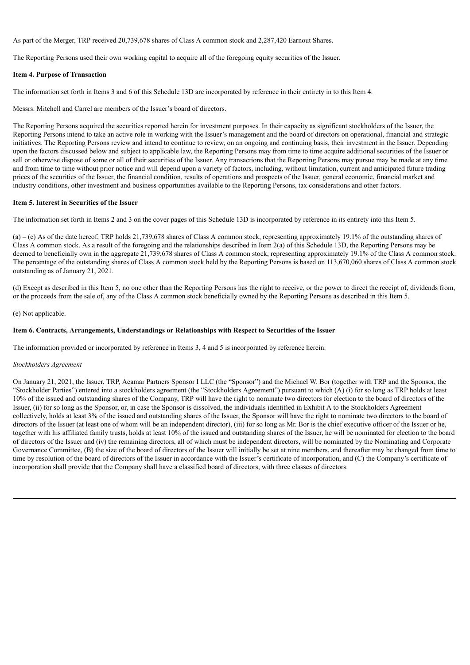As part of the Merger, TRP received 20,739,678 shares of Class A common stock and 2,287,420 Earnout Shares.

The Reporting Persons used their own working capital to acquire all of the foregoing equity securities of the Issuer.

#### **Item 4. Purpose of Transaction**

The information set forth in Items 3 and 6 of this Schedule 13D are incorporated by reference in their entirety in to this Item 4.

Messrs. Mitchell and Carrel are members of the Issuer's board of directors.

The Reporting Persons acquired the securities reported herein for investment purposes. In their capacity as significant stockholders of the Issuer, the Reporting Persons intend to take an active role in working with the Issuer's management and the board of directors on operational, financial and strategic initiatives. The Reporting Persons review and intend to continue to review, on an ongoing and continuing basis, their investment in the Issuer. Depending upon the factors discussed below and subject to applicable law, the Reporting Persons may from time to time acquire additional securities of the Issuer or sell or otherwise dispose of some or all of their securities of the Issuer. Any transactions that the Reporting Persons may pursue may be made at any time and from time to time without prior notice and will depend upon a variety of factors, including, without limitation, current and anticipated future trading prices of the securities of the Issuer, the financial condition, results of operations and prospects of the Issuer, general economic, financial market and industry conditions, other investment and business opportunities available to the Reporting Persons, tax considerations and other factors.

#### **Item 5. Interest in Securities of the Issuer**

The information set forth in Items 2 and 3 on the cover pages of this Schedule 13D is incorporated by reference in its entirety into this Item 5.

(a) – (c) As of the date hereof, TRP holds 21,739,678 shares of Class A common stock, representing approximately 19.1% of the outstanding shares of Class A common stock. As a result of the foregoing and the relationships described in Item 2(a) of this Schedule 13D, the Reporting Persons may be deemed to beneficially own in the aggregate 21,739,678 shares of Class A common stock, representing approximately 19.1% of the Class A common stock. The percentage of the outstanding shares of Class A common stock held by the Reporting Persons is based on 113,670,060 shares of Class A common stock outstanding as of January 21, 2021.

(d) Except as described in this Item 5, no one other than the Reporting Persons has the right to receive, or the power to direct the receipt of, dividends from, or the proceeds from the sale of, any of the Class A common stock beneficially owned by the Reporting Persons as described in this Item 5.

(e) Not applicable.

#### **Item 6. Contracts, Arrangements, Understandings or Relationships with Respect to Securities of the Issuer**

The information provided or incorporated by reference in Items 3, 4 and 5 is incorporated by reference herein.

#### *Stockholders Agreement*

On January 21, 2021, the Issuer, TRP, Acamar Partners Sponsor I LLC (the "Sponsor") and the Michael W. Bor (together with TRP and the Sponsor, the "Stockholder Parties") entered into a stockholders agreement (the "Stockholders Agreement") pursuant to which (A) (i) for so long as TRP holds at least 10% of the issued and outstanding shares of the Company, TRP will have the right to nominate two directors for election to the board of directors of the Issuer, (ii) for so long as the Sponsor, or, in case the Sponsor is dissolved, the individuals identified in Exhibit A to the Stockholders Agreement collectively, holds at least 3% of the issued and outstanding shares of the Issuer, the Sponsor will have the right to nominate two directors to the board of directors of the Issuer (at least one of whom will be an independent director), (iii) for so long as Mr. Bor is the chief executive officer of the Issuer or he, together with his affiliated family trusts, holds at least 10% of the issued and outstanding shares of the Issuer, he will be nominated for election to the board of directors of the Issuer and (iv) the remaining directors, all of which must be independent directors, will be nominated by the Nominating and Corporate Governance Committee, (B) the size of the board of directors of the Issuer will initially be set at nine members, and thereafter may be changed from time to time by resolution of the board of directors of the Issuer in accordance with the Issuer's certificate of incorporation, and (C) the Company's certificate of incorporation shall provide that the Company shall have a classified board of directors, with three classes of directors.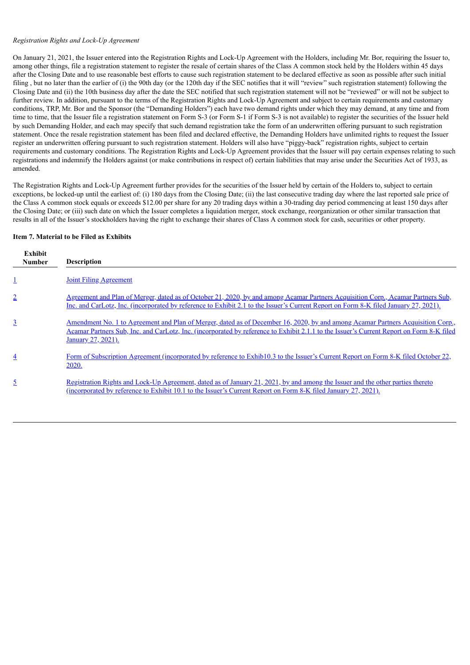#### *Registration Rights and Lock-Up Agreement*

On January 21, 2021, the Issuer entered into the Registration Rights and Lock-Up Agreement with the Holders, including Mr. Bor, requiring the Issuer to, among other things, file a registration statement to register the resale of certain shares of the Class A common stock held by the Holders within 45 days after the Closing Date and to use reasonable best efforts to cause such registration statement to be declared effective as soon as possible after such initial filing, but no later than the earlier of (i) the 90th day (or the 120th day if the SEC notifies that it will "review" such registration statement) following the Closing Date and (ii) the 10th business day after the date the SEC notified that such registration statement will not be "reviewed" or will not be subject to further review. In addition, pursuant to the terms of the Registration Rights and Lock-Up Agreement and subject to certain requirements and customary conditions, TRP, Mr. Bor and the Sponsor (the "Demanding Holders") each have two demand rights under which they may demand, at any time and from time to time, that the Issuer file a registration statement on Form S-3 (or Form S-1 if Form S-3 is not available) to register the securities of the Issuer held by such Demanding Holder, and each may specify that such demand registration take the form of an underwritten offering pursuant to such registration statement. Once the resale registration statement has been filed and declared effective, the Demanding Holders have unlimited rights to request the Issuer register an underwritten offering pursuant to such registration statement. Holders will also have "piggy-back" registration rights, subject to certain requirements and customary conditions. The Registration Rights and Lock-Up Agreement provides that the Issuer will pay certain expenses relating to such registrations and indemnify the Holders against (or make contributions in respect of) certain liabilities that may arise under the Securities Act of 1933, as amended.

The Registration Rights and Lock-Up Agreement further provides for the securities of the Issuer held by certain of the Holders to, subject to certain exceptions, be locked-up until the earliest of: (i) 180 days from the Closing Date; (ii) the last consecutive trading day where the last reported sale price of the Class A common stock equals or exceeds \$12.00 per share for any 20 trading days within a 30-trading day period commencing at least 150 days after the Closing Date; or (iii) such date on which the Issuer completes a liquidation merger, stock exchange, reorganization or other similar transaction that results in all of the Issuer's stockholders having the right to exchange their shares of Class A common stock for cash, securities or other property.

#### **Item 7. Material to be Filed as Exhibits**

| Exhibit<br><b>Number</b> | <b>Description</b>                                                                                                                                                                                                                                                                                |
|--------------------------|---------------------------------------------------------------------------------------------------------------------------------------------------------------------------------------------------------------------------------------------------------------------------------------------------|
|                          | <b>Joint Filing Agreement</b>                                                                                                                                                                                                                                                                     |
| $\overline{2}$           | <u>Agreement and Plan of Merger, dated as of October 21, 2020, by and among Acamar Partners Acquisition Corp., Acamar Partners Sub,</u><br>Inc. and CarLotz, Inc. (incorporated by reference to Exhibit 2.1 to the Issuer's Current Report on Form 8-K filed January 27, 2021).                   |
| $\overline{3}$           | Amendment No. 1 to Agreement and Plan of Merger, dated as of December 16, 2020, by and among Acamar Partners Acquisition Corp.,<br>Acamar Partners Sub, Inc. and CarLotz, Inc. (incorporated by reference to Exhibit 2.1.1 to the Issuer's Current Report on Form 8-K filed<br>January 27, 2021). |
| $\overline{4}$           | Form of Subscription Agreement (incorporated by reference to Exhib10.3 to the Issuer's Current Report on Form 8-K filed October 22,<br>2020.                                                                                                                                                      |
| $\overline{5}$           | Registration Rights and Lock-Up Agreement, dated as of January 21, 2021, by and among the Issuer and the other parties thereto<br>(incorporated by reference to Exhibit 10.1 to the Issuer's Current Report on Form 8-K filed January 27, 2021).                                                  |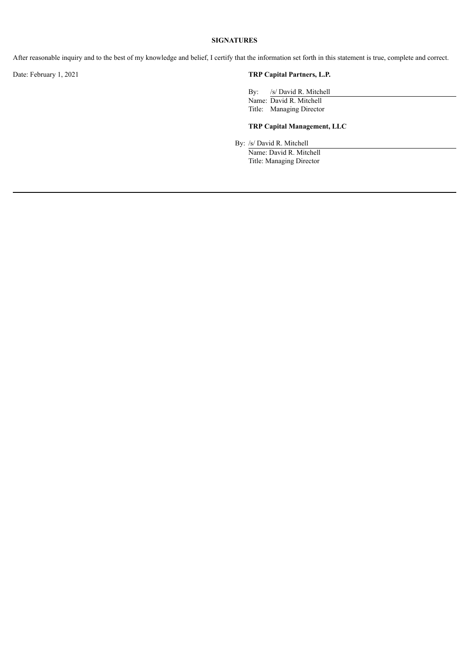#### **SIGNATURES**

After reasonable inquiry and to the best of my knowledge and belief, I certify that the information set forth in this statement is true, complete and correct.

### Date: February 1, 2021 **TRP Capital Partners, L.P.**

By: /s/ David R. Mitchell Name: David R. Mitchell Title: Managing Director

#### **TRP Capital Management, LLC**

By: /s/ David R. Mitchell

Name: David R. Mitchell Title: Managing Director